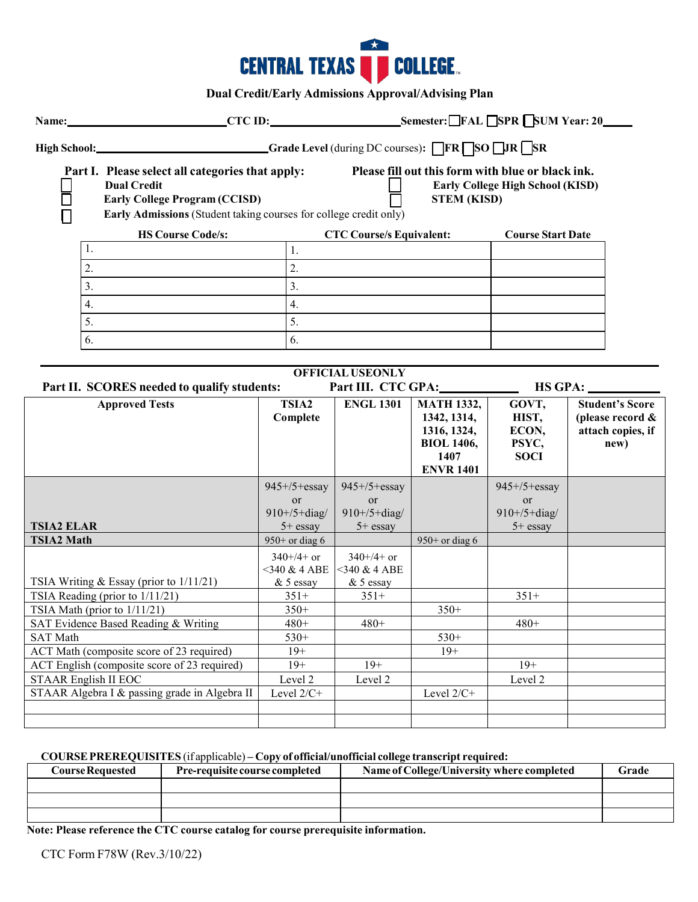

**Dual Credit/Early Admissions Approval/Advising Plan**

|                                                                                                                |                                                            |                                                                                                                                              | Name: CTC ID: Semester: FAL SPR SUM Year: 20         |                                                 |                                                    |                                                                    |  |
|----------------------------------------------------------------------------------------------------------------|------------------------------------------------------------|----------------------------------------------------------------------------------------------------------------------------------------------|------------------------------------------------------|-------------------------------------------------|----------------------------------------------------|--------------------------------------------------------------------|--|
|                                                                                                                | High School: Grade Level (during DC courses): FR SO DIR SR |                                                                                                                                              |                                                      |                                                 |                                                    |                                                                    |  |
| Part I. Please select all categories that apply:<br><b>Dual Credit</b><br><b>Early College Program (CCISD)</b> |                                                            | Please fill out this form with blue or black ink.<br><b>STEM (KISD)</b><br>Early Admissions (Student taking courses for college credit only) |                                                      | <b>Early College High School (KISD)</b>         |                                                    |                                                                    |  |
| <b>HS Course Code/s:</b>                                                                                       |                                                            |                                                                                                                                              | <b>CTC Course/s Equivalent:</b>                      |                                                 | <b>Course Start Date</b>                           |                                                                    |  |
| 1.                                                                                                             |                                                            | 1.                                                                                                                                           |                                                      |                                                 |                                                    |                                                                    |  |
| 2.                                                                                                             |                                                            | 2.                                                                                                                                           |                                                      |                                                 |                                                    |                                                                    |  |
| 3.                                                                                                             |                                                            | 3.                                                                                                                                           |                                                      |                                                 |                                                    |                                                                    |  |
|                                                                                                                |                                                            |                                                                                                                                              |                                                      |                                                 |                                                    |                                                                    |  |
| 4.                                                                                                             |                                                            | $\overline{4}$ .                                                                                                                             |                                                      |                                                 |                                                    |                                                                    |  |
| 5.                                                                                                             |                                                            | 5.                                                                                                                                           |                                                      |                                                 |                                                    |                                                                    |  |
| 6.                                                                                                             |                                                            | 6.                                                                                                                                           |                                                      |                                                 |                                                    |                                                                    |  |
|                                                                                                                |                                                            |                                                                                                                                              |                                                      |                                                 |                                                    |                                                                    |  |
|                                                                                                                |                                                            |                                                                                                                                              | <b>OFFICIAL USEONLY</b>                              |                                                 |                                                    |                                                                    |  |
| Part II. SCORES needed to qualify students:                                                                    |                                                            |                                                                                                                                              | Part III. CTC GPA:                                   |                                                 |                                                    | $HS$ GPA:                                                          |  |
| <b>Approved Tests</b>                                                                                          |                                                            | TSIA2<br>Complete                                                                                                                            | <b>ENGL 1301</b>                                     | <b>MATH 1332,</b><br>1342, 1314,<br>1316, 1324, | GOVT,<br>HIST,<br>ECON,                            | <b>Student's Score</b><br>(please record $\&$<br>attach copies, if |  |
|                                                                                                                |                                                            |                                                                                                                                              |                                                      | <b>BIOL 1406,</b><br>1407<br><b>ENVR 1401</b>   | PSYC,<br><b>SOCI</b>                               | new)                                                               |  |
|                                                                                                                |                                                            |                                                                                                                                              |                                                      |                                                 |                                                    |                                                                    |  |
| <b>TSIA2 ELAR</b>                                                                                              |                                                            | $945+/5+essay$<br>or<br>$910+/5+diag/$<br>$5+$ essay                                                                                         | $945+/5+essay$<br>or<br>$910+/5+diag/$<br>$5+$ essay |                                                 | $945+/5+essay$<br>or<br>$910+/5+diag/$<br>5+ essay |                                                                    |  |
| <b>TSIA2 Math</b>                                                                                              |                                                            | $950+$ or diag 6                                                                                                                             |                                                      | $950+$ or diag 6                                |                                                    |                                                                    |  |
| TSIA Writing & Essay (prior to 1/11/21)                                                                        |                                                            | $340+/4+$ or<br>$<$ 340 & 4 ABE<br>$& 5$ essay                                                                                               | $340+/4+$ or<br><340 & 4 ABE<br>$& 5$ essay          |                                                 |                                                    |                                                                    |  |
| TSIA Reading (prior to 1/11/21)                                                                                |                                                            | $351+$                                                                                                                                       | $351+$                                               |                                                 | $351+$                                             |                                                                    |  |
| TSIA Math (prior to 1/11/21)                                                                                   |                                                            | $350+$                                                                                                                                       |                                                      | $350+$                                          |                                                    |                                                                    |  |
| SAT Evidence Based Reading & Writing                                                                           |                                                            | $480+$                                                                                                                                       | 480+                                                 |                                                 | 480+                                               |                                                                    |  |
| <b>SAT Math</b>                                                                                                |                                                            | 530+                                                                                                                                         |                                                      | $530+$                                          |                                                    |                                                                    |  |
| ACT Math (composite score of 23 required)                                                                      |                                                            | $19+$                                                                                                                                        |                                                      | $19+$                                           |                                                    |                                                                    |  |
| ACT English (composite score of 23 required)                                                                   |                                                            | $19+$                                                                                                                                        | $19+$                                                |                                                 | $19+$                                              |                                                                    |  |
| <b>STAAR English II EOC</b><br>STAAR Algebra I & passing grade in Algebra II                                   |                                                            | Level 2<br>Level 2/C+                                                                                                                        | Level 2                                              | Level 2/C+                                      | Level 2                                            |                                                                    |  |

## **COURSEPREREQUISITES** (if applicable) **– Copy of official/unofficial college transcript required:**

| <b>Course Requested</b> | <b>Pre-requisite course completed</b> | Name of College/University where completed | Grade |
|-------------------------|---------------------------------------|--------------------------------------------|-------|
|                         |                                       |                                            |       |
|                         |                                       |                                            |       |
|                         |                                       |                                            |       |

**Note: Please reference the CTC course catalog for course prerequisite information.**